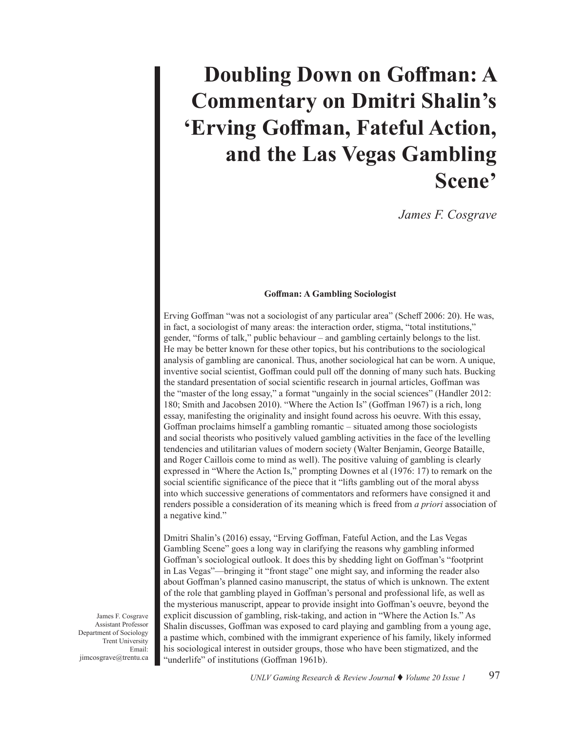# **Doubling Down on Goffman: A Commentary on Dmitri Shalin's 'Erving Goffman, Fateful Action, and the Las Vegas Gambling Scene'**

*James F. Cosgrave*

### **Goffman: A Gambling Sociologist**

Erving Goffman "was not a sociologist of any particular area" (Scheff 2006: 20). He was, in fact, a sociologist of many areas: the interaction order, stigma, "total institutions," gender, "forms of talk," public behaviour – and gambling certainly belongs to the list. He may be better known for these other topics, but his contributions to the sociological analysis of gambling are canonical. Thus, another sociological hat can be worn. A unique, inventive social scientist, Goffman could pull off the donning of many such hats. Bucking the standard presentation of social scientific research in journal articles, Goffman was the "master of the long essay," a format "ungainly in the social sciences" (Handler 2012: 180; Smith and Jacobsen 2010). "Where the Action Is" (Goffman 1967) is a rich, long essay, manifesting the originality and insight found across his oeuvre. With this essay, Goffman proclaims himself a gambling romantic – situated among those sociologists and social theorists who positively valued gambling activities in the face of the levelling tendencies and utilitarian values of modern society (Walter Benjamin, George Bataille, and Roger Caillois come to mind as well). The positive valuing of gambling is clearly expressed in "Where the Action Is," prompting Downes et al (1976: 17) to remark on the social scientific significance of the piece that it "lifts gambling out of the moral abyss into which successive generations of commentators and reformers have consigned it and renders possible a consideration of its meaning which is freed from *a priori* association of a negative kind."

Dmitri Shalin's (2016) essay, "Erving Goffman, Fateful Action, and the Las Vegas Gambling Scene" goes a long way in clarifying the reasons why gambling informed Goffman's sociological outlook. It does this by shedding light on Goffman's "footprint in Las Vegas"—bringing it "front stage" one might say, and informing the reader also about Goffman's planned casino manuscript, the status of which is unknown. The extent of the role that gambling played in Goffman's personal and professional life, as well as the mysterious manuscript, appear to provide insight into Goffman's oeuvre, beyond the explicit discussion of gambling, risk-taking, and action in "Where the Action Is." As Shalin discusses, Goffman was exposed to card playing and gambling from a young age, a pastime which, combined with the immigrant experience of his family, likely informed his sociological interest in outsider groups, those who have been stigmatized, and the "underlife" of institutions (Goffman 1961b).

James F. Cosgrave Assistant Professor Department of Sociology Trent University Email: jimcosgrave@trentu.ca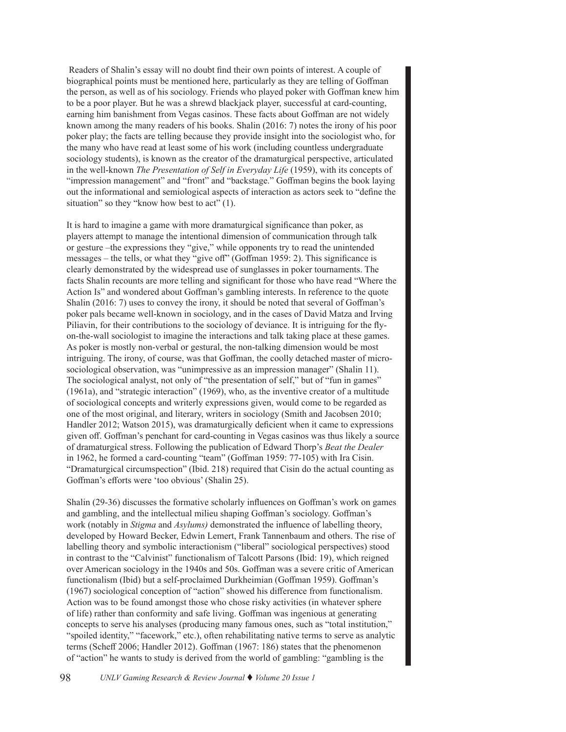Readers of Shalin's essay will no doubt find their own points of interest. A couple of biographical points must be mentioned here, particularly as they are telling of Goffman the person, as well as of his sociology. Friends who played poker with Goffman knew him to be a poor player. But he was a shrewd blackjack player, successful at card-counting, earning him banishment from Vegas casinos. These facts about Goffman are not widely known among the many readers of his books. Shalin (2016: 7) notes the irony of his poor poker play; the facts are telling because they provide insight into the sociologist who, for the many who have read at least some of his work (including countless undergraduate sociology students), is known as the creator of the dramaturgical perspective, articulated in the well-known *The Presentation of Self in Everyday Life* (1959), with its concepts of "impression management" and "front" and "backstage." Goffman begins the book laying out the informational and semiological aspects of interaction as actors seek to "define the situation" so they "know how best to act" (1).

It is hard to imagine a game with more dramaturgical significance than poker, as players attempt to manage the intentional dimension of communication through talk or gesture –the expressions they "give," while opponents try to read the unintended messages – the tells, or what they "give off" (Goffman 1959: 2). This significance is clearly demonstrated by the widespread use of sunglasses in poker tournaments. The facts Shalin recounts are more telling and significant for those who have read "Where the Action Is" and wondered about Goffman's gambling interests. In reference to the quote Shalin (2016: 7) uses to convey the irony, it should be noted that several of Goffman's poker pals became well-known in sociology, and in the cases of David Matza and Irving Piliavin, for their contributions to the sociology of deviance. It is intriguing for the flyon-the-wall sociologist to imagine the interactions and talk taking place at these games. As poker is mostly non-verbal or gestural, the non-talking dimension would be most intriguing. The irony, of course, was that Goffman, the coolly detached master of microsociological observation, was "unimpressive as an impression manager" (Shalin 11). The sociological analyst, not only of "the presentation of self," but of "fun in games" (1961a), and "strategic interaction" (1969), who, as the inventive creator of a multitude of sociological concepts and writerly expressions given, would come to be regarded as one of the most original, and literary, writers in sociology (Smith and Jacobsen 2010; Handler 2012; Watson 2015), was dramaturgically deficient when it came to expressions given off. Goffman's penchant for card-counting in Vegas casinos was thus likely a source of dramaturgical stress. Following the publication of Edward Thorp's *Beat the Dealer* in 1962, he formed a card-counting "team" (Goffman 1959: 77-105) with Ira Cisin. "Dramaturgical circumspection" (Ibid. 218) required that Cisin do the actual counting as Goffman's efforts were 'too obvious' (Shalin 25).

Shalin (29-36) discusses the formative scholarly influences on Goffman's work on games and gambling, and the intellectual milieu shaping Goffman's sociology. Goffman's work (notably in *Stigma* and *Asylums)* demonstrated the influence of labelling theory, developed by Howard Becker, Edwin Lemert, Frank Tannenbaum and others. The rise of labelling theory and symbolic interactionism ("liberal" sociological perspectives) stood in contrast to the "Calvinist" functionalism of Talcott Parsons (Ibid: 19), which reigned over American sociology in the 1940s and 50s. Goffman was a severe critic of American functionalism (Ibid) but a self-proclaimed Durkheimian (Goffman 1959). Goffman's (1967) sociological conception of "action" showed his difference from functionalism. Action was to be found amongst those who chose risky activities (in whatever sphere of life) rather than conformity and safe living. Goffman was ingenious at generating concepts to serve his analyses (producing many famous ones, such as "total institution," "spoiled identity," "facework," etc.), often rehabilitating native terms to serve as analytic terms (Scheff 2006; Handler 2012). Goffman (1967: 186) states that the phenomenon of "action" he wants to study is derived from the world of gambling: "gambling is the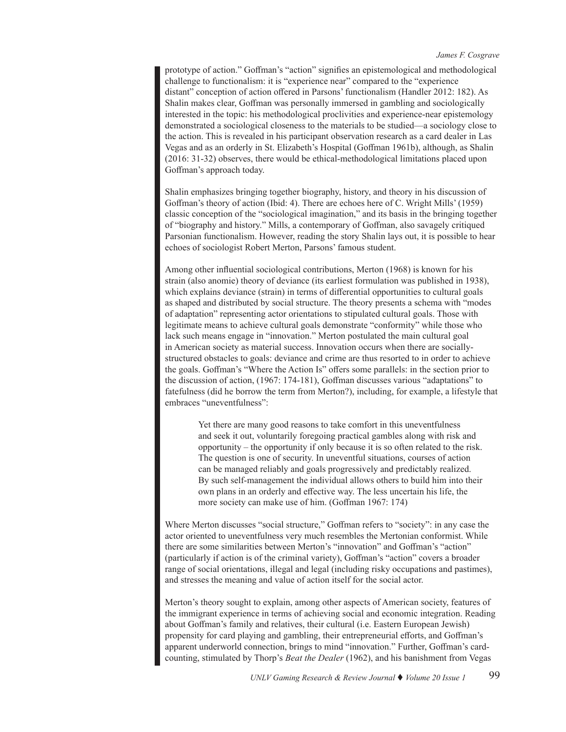prototype of action." Goffman's "action" signifies an epistemological and methodological challenge to functionalism: it is "experience near" compared to the "experience distant" conception of action offered in Parsons' functionalism (Handler 2012: 182). As Shalin makes clear, Goffman was personally immersed in gambling and sociologically interested in the topic: his methodological proclivities and experience-near epistemology demonstrated a sociological closeness to the materials to be studied—a sociology close to the action. This is revealed in his participant observation research as a card dealer in Las Vegas and as an orderly in St. Elizabeth's Hospital (Goffman 1961b), although, as Shalin (2016: 31-32) observes, there would be ethical-methodological limitations placed upon Goffman's approach today.

Shalin emphasizes bringing together biography, history, and theory in his discussion of Goffman's theory of action (Ibid: 4). There are echoes here of C. Wright Mills' (1959) classic conception of the "sociological imagination," and its basis in the bringing together of "biography and history." Mills, a contemporary of Goffman, also savagely critiqued Parsonian functionalism. However, reading the story Shalin lays out, it is possible to hear echoes of sociologist Robert Merton, Parsons' famous student.

Among other influential sociological contributions, Merton (1968) is known for his strain (also anomie) theory of deviance (its earliest formulation was published in 1938), which explains deviance (strain) in terms of differential opportunities to cultural goals as shaped and distributed by social structure. The theory presents a schema with "modes of adaptation" representing actor orientations to stipulated cultural goals. Those with legitimate means to achieve cultural goals demonstrate "conformity" while those who lack such means engage in "innovation." Merton postulated the main cultural goal in American society as material success. Innovation occurs when there are sociallystructured obstacles to goals: deviance and crime are thus resorted to in order to achieve the goals. Goffman's "Where the Action Is" offers some parallels: in the section prior to the discussion of action, (1967: 174-181), Goffman discusses various "adaptations" to fatefulness (did he borrow the term from Merton?), including, for example, a lifestyle that embraces "uneventfulness":

Yet there are many good reasons to take comfort in this uneventfulness and seek it out, voluntarily foregoing practical gambles along with risk and opportunity – the opportunity if only because it is so often related to the risk. The question is one of security. In uneventful situations, courses of action can be managed reliably and goals progressively and predictably realized. By such self-management the individual allows others to build him into their own plans in an orderly and effective way. The less uncertain his life, the more society can make use of him. (Goffman 1967: 174)

Where Merton discusses "social structure," Goffman refers to "society": in any case the actor oriented to uneventfulness very much resembles the Mertonian conformist. While there are some similarities between Merton's "innovation" and Goffman's "action" (particularly if action is of the criminal variety), Goffman's "action" covers a broader range of social orientations, illegal and legal (including risky occupations and pastimes), and stresses the meaning and value of action itself for the social actor.

Merton's theory sought to explain, among other aspects of American society, features of the immigrant experience in terms of achieving social and economic integration. Reading about Goffman's family and relatives, their cultural (i.e. Eastern European Jewish) propensity for card playing and gambling, their entrepreneurial efforts, and Goffman's apparent underworld connection, brings to mind "innovation." Further, Goffman's cardcounting, stimulated by Thorp's *Beat the Dealer* (1962), and his banishment from Vegas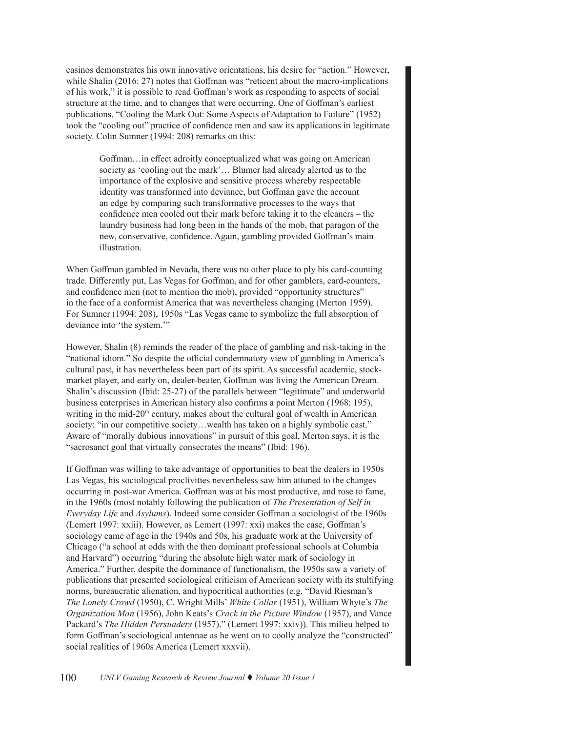casinos demonstrates his own innovative orientations, his desire for "action." However, while Shalin (2016: 27) notes that Goffman was "reticent about the macro-implications of his work," it is possible to read Goffman's work as responding to aspects of social structure at the time, and to changes that were occurring. One of Goffman's earliest publications, "Cooling the Mark Out: Some Aspects of Adaptation to Failure" (1952) took the "cooling out" practice of confidence men and saw its applications in legitimate society. Colin Sumner (1994: 208) remarks on this:

> Goffman…in effect adroitly conceptualized what was going on American society as 'cooling out the mark'… Blumer had already alerted us to the importance of the explosive and sensitive process whereby respectable identity was transformed into deviance, but Goffman gave the account an edge by comparing such transformative processes to the ways that confidence men cooled out their mark before taking it to the cleaners – the laundry business had long been in the hands of the mob, that paragon of the new, conservative, confidence. Again, gambling provided Goffman's main illustration.

When Goffman gambled in Nevada, there was no other place to ply his card-counting trade. Differently put, Las Vegas for Goffman, and for other gamblers, card-counters, and confidence men (not to mention the mob), provided "opportunity structures" in the face of a conformist America that was nevertheless changing (Merton 1959). For Sumner (1994: 208), 1950s "Las Vegas came to symbolize the full absorption of deviance into 'the system.'"

However, Shalin (8) reminds the reader of the place of gambling and risk-taking in the "national idiom." So despite the official condemnatory view of gambling in America's cultural past, it has nevertheless been part of its spirit. As successful academic, stockmarket player, and early on, dealer-beater, Goffman was living the American Dream. Shalin's discussion (Ibid: 25-27) of the parallels between "legitimate" and underworld business enterprises in American history also confirms a point Merton (1968: 195), writing in the mid- $20<sup>th</sup>$  century, makes about the cultural goal of wealth in American society: "in our competitive society...wealth has taken on a highly symbolic cast." Aware of "morally dubious innovations" in pursuit of this goal, Merton says, it is the "sacrosanct goal that virtually consecrates the means" (Ibid: 196).

If Goffman was willing to take advantage of opportunities to beat the dealers in 1950s Las Vegas, his sociological proclivities nevertheless saw him attuned to the changes occurring in post-war America. Goffman was at his most productive, and rose to fame, in the 1960s (most notably following the publication of *The Presentation of Self in Everyday Life* and *Asylums*). Indeed some consider Goffman a sociologist of the 1960s (Lemert 1997: xxiii). However, as Lemert (1997: xxi) makes the case, Goffman's sociology came of age in the 1940s and 50s, his graduate work at the University of Chicago ("a school at odds with the then dominant professional schools at Columbia and Harvard") occurring "during the absolute high water mark of sociology in America." Further, despite the dominance of functionalism, the 1950s saw a variety of publications that presented sociological criticism of American society with its stultifying norms, bureaucratic alienation, and hypocritical authorities (e.g. "David Riesman's *The Lonely Crowd* (1950), C. Wright Mills' *White Collar* (1951), William Whyte's *The Organization Man* (1956), John Keats's *Crack in the Picture Window* (1957), and Vance Packard's *The Hidden Persuaders* (1957)," (Lemert 1997: xxiv)). This milieu helped to form Goffman's sociological antennae as he went on to coolly analyze the "constructed" social realities of 1960s America (Lemert xxxvii).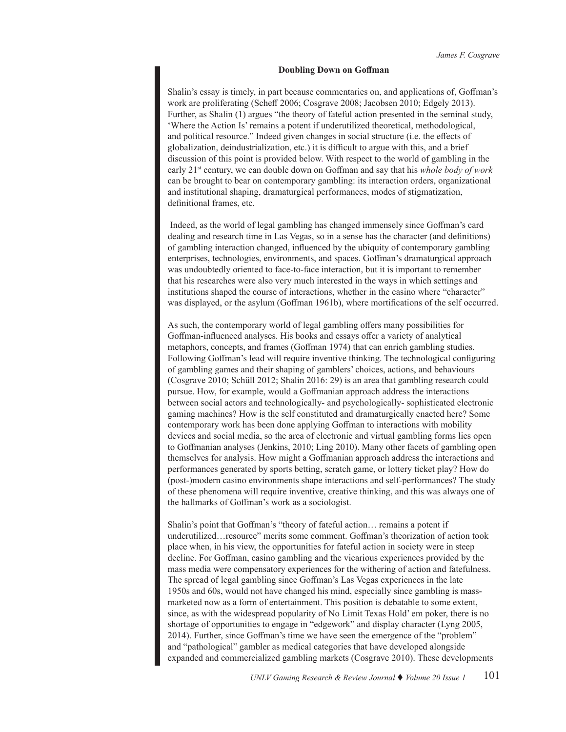### **Doubling Down on Goffman**

Shalin's essay is timely, in part because commentaries on, and applications of, Goffman's work are proliferating (Scheff 2006; Cosgrave 2008; Jacobsen 2010; Edgely 2013). Further, as Shalin (1) argues "the theory of fateful action presented in the seminal study, 'Where the Action Is' remains a potent if underutilized theoretical, methodological, and political resource." Indeed given changes in social structure (i.e. the effects of globalization, deindustrialization, etc.) it is difficult to argue with this, and a brief discussion of this point is provided below. With respect to the world of gambling in the early 21st century, we can double down on Goffman and say that his *whole body of work*  can be brought to bear on contemporary gambling: its interaction orders, organizational and institutional shaping, dramaturgical performances, modes of stigmatization, definitional frames, etc.

 Indeed, as the world of legal gambling has changed immensely since Goffman's card dealing and research time in Las Vegas, so in a sense has the character (and definitions) of gambling interaction changed, influenced by the ubiquity of contemporary gambling enterprises, technologies, environments, and spaces. Goffman's dramaturgical approach was undoubtedly oriented to face-to-face interaction, but it is important to remember that his researches were also very much interested in the ways in which settings and institutions shaped the course of interactions, whether in the casino where "character" was displayed, or the asylum (Goffman 1961b), where mortifications of the self occurred.

As such, the contemporary world of legal gambling offers many possibilities for Goffman-influenced analyses. His books and essays offer a variety of analytical metaphors, concepts, and frames (Goffman 1974) that can enrich gambling studies. Following Goffman's lead will require inventive thinking. The technological configuring of gambling games and their shaping of gamblers' choices, actions, and behaviours (Cosgrave 2010; Schüll 2012; Shalin 2016: 29) is an area that gambling research could pursue. How, for example, would a Goffmanian approach address the interactions between social actors and technologically- and psychologically- sophisticated electronic gaming machines? How is the self constituted and dramaturgically enacted here? Some contemporary work has been done applying Goffman to interactions with mobility devices and social media, so the area of electronic and virtual gambling forms lies open to Goffmanian analyses (Jenkins, 2010; Ling 2010). Many other facets of gambling open themselves for analysis. How might a Goffmanian approach address the interactions and performances generated by sports betting, scratch game, or lottery ticket play? How do (post-)modern casino environments shape interactions and self-performances? The study of these phenomena will require inventive, creative thinking, and this was always one of the hallmarks of Goffman's work as a sociologist.

Shalin's point that Goffman's "theory of fateful action… remains a potent if underutilized…resource" merits some comment. Goffman's theorization of action took place when, in his view, the opportunities for fateful action in society were in steep decline. For Goffman, casino gambling and the vicarious experiences provided by the mass media were compensatory experiences for the withering of action and fatefulness. The spread of legal gambling since Goffman's Las Vegas experiences in the late 1950s and 60s, would not have changed his mind, especially since gambling is massmarketed now as a form of entertainment. This position is debatable to some extent, since, as with the widespread popularity of No Limit Texas Hold' em poker, there is no shortage of opportunities to engage in "edgework" and display character (Lyng 2005, 2014). Further, since Goffman's time we have seen the emergence of the "problem" and "pathological" gambler as medical categories that have developed alongside expanded and commercialized gambling markets (Cosgrave 2010). These developments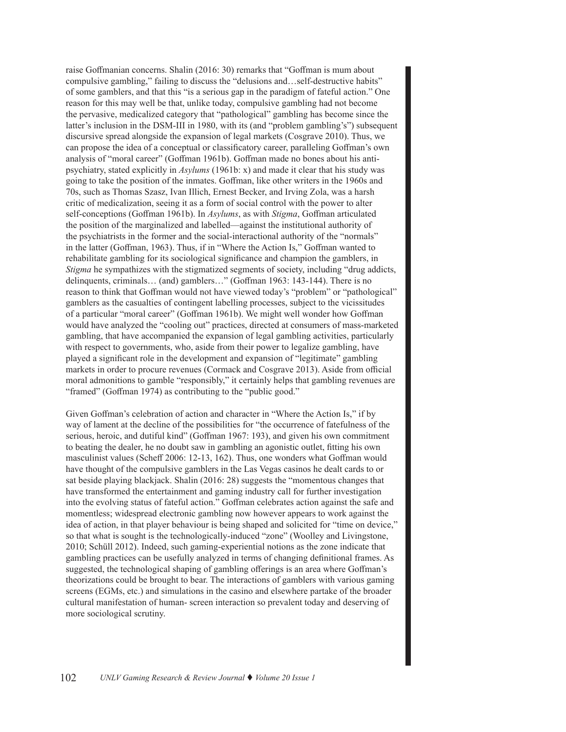raise Goffmanian concerns. Shalin (2016: 30) remarks that "Goffman is mum about compulsive gambling," failing to discuss the "delusions and…self-destructive habits" of some gamblers, and that this "is a serious gap in the paradigm of fateful action." One reason for this may well be that, unlike today, compulsive gambling had not become the pervasive, medicalized category that "pathological" gambling has become since the latter's inclusion in the DSM-III in 1980, with its (and "problem gambling's") subsequent discursive spread alongside the expansion of legal markets (Cosgrave 2010). Thus, we can propose the idea of a conceptual or classificatory career, paralleling Goffman's own analysis of "moral career" (Goffman 1961b). Goffman made no bones about his antipsychiatry, stated explicitly in *Asylums* (1961b: x) and made it clear that his study was going to take the position of the inmates. Goffman, like other writers in the 1960s and 70s, such as Thomas Szasz, Ivan Illich, Ernest Becker, and Irving Zola, was a harsh critic of medicalization, seeing it as a form of social control with the power to alter self-conceptions (Goffman 1961b). In *Asylums*, as with *Stigma*, Goffman articulated the position of the marginalized and labelled—against the institutional authority of the psychiatrists in the former and the social-interactional authority of the "normals" in the latter (Goffman, 1963). Thus, if in "Where the Action Is," Goffman wanted to rehabilitate gambling for its sociological significance and champion the gamblers, in *Stigma* he sympathizes with the stigmatized segments of society, including "drug addicts, delinquents, criminals… (and) gamblers…" (Goffman 1963: 143-144). There is no reason to think that Goffman would not have viewed today's "problem" or "pathological" gamblers as the casualties of contingent labelling processes, subject to the vicissitudes of a particular "moral career" (Goffman 1961b). We might well wonder how Goffman would have analyzed the "cooling out" practices, directed at consumers of mass-marketed gambling, that have accompanied the expansion of legal gambling activities, particularly with respect to governments, who, aside from their power to legalize gambling, have played a significant role in the development and expansion of "legitimate" gambling markets in order to procure revenues (Cormack and Cosgrave 2013). Aside from official moral admonitions to gamble "responsibly," it certainly helps that gambling revenues are "framed" (Goffman 1974) as contributing to the "public good."

Given Goffman's celebration of action and character in "Where the Action Is," if by way of lament at the decline of the possibilities for "the occurrence of fatefulness of the serious, heroic, and dutiful kind" (Goffman 1967: 193), and given his own commitment to beating the dealer, he no doubt saw in gambling an agonistic outlet, fitting his own masculinist values (Scheff 2006: 12-13, 162). Thus, one wonders what Goffman would have thought of the compulsive gamblers in the Las Vegas casinos he dealt cards to or sat beside playing blackjack. Shalin (2016: 28) suggests the "momentous changes that have transformed the entertainment and gaming industry call for further investigation into the evolving status of fateful action." Goffman celebrates action against the safe and momentless; widespread electronic gambling now however appears to work against the idea of action, in that player behaviour is being shaped and solicited for "time on device," so that what is sought is the technologically-induced "zone" (Woolley and Livingstone, 2010; Schüll 2012). Indeed, such gaming-experiential notions as the zone indicate that gambling practices can be usefully analyzed in terms of changing definitional frames. As suggested, the technological shaping of gambling offerings is an area where Goffman's theorizations could be brought to bear. The interactions of gamblers with various gaming screens (EGMs, etc.) and simulations in the casino and elsewhere partake of the broader cultural manifestation of human- screen interaction so prevalent today and deserving of more sociological scrutiny.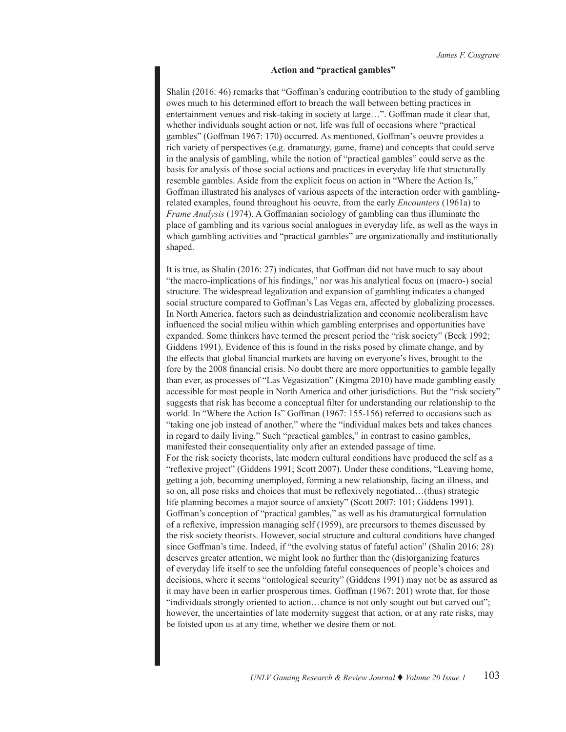## **Action and "practical gambles"**

Shalin (2016: 46) remarks that "Goffman's enduring contribution to the study of gambling owes much to his determined effort to breach the wall between betting practices in entertainment venues and risk-taking in society at large…". Goffman made it clear that, whether individuals sought action or not, life was full of occasions where "practical gambles" (Goffman 1967: 170) occurred. As mentioned, Goffman's oeuvre provides a rich variety of perspectives (e.g. dramaturgy, game, frame) and concepts that could serve in the analysis of gambling, while the notion of "practical gambles" could serve as the basis for analysis of those social actions and practices in everyday life that structurally resemble gambles. Aside from the explicit focus on action in "Where the Action Is," Goffman illustrated his analyses of various aspects of the interaction order with gamblingrelated examples, found throughout his oeuvre, from the early *Encounters* (1961a) to *Frame Analysis* (1974). A Goffmanian sociology of gambling can thus illuminate the place of gambling and its various social analogues in everyday life, as well as the ways in which gambling activities and "practical gambles" are organizationally and institutionally shaped.

It is true, as Shalin (2016: 27) indicates, that Goffman did not have much to say about "the macro-implications of his findings," nor was his analytical focus on (macro-) social structure. The widespread legalization and expansion of gambling indicates a changed social structure compared to Goffman's Las Vegas era, affected by globalizing processes. In North America, factors such as deindustrialization and economic neoliberalism have influenced the social milieu within which gambling enterprises and opportunities have expanded. Some thinkers have termed the present period the "risk society" (Beck 1992; Giddens 1991). Evidence of this is found in the risks posed by climate change, and by the effects that global financial markets are having on everyone's lives, brought to the fore by the 2008 financial crisis. No doubt there are more opportunities to gamble legally than ever, as processes of "Las Vegasization" (Kingma 2010) have made gambling easily accessible for most people in North America and other jurisdictions. But the "risk society" suggests that risk has become a conceptual filter for understanding our relationship to the world. In "Where the Action Is" Goffman (1967: 155-156) referred to occasions such as "taking one job instead of another," where the "individual makes bets and takes chances in regard to daily living." Such "practical gambles," in contrast to casino gambles, manifested their consequentiality only after an extended passage of time. For the risk society theorists, late modern cultural conditions have produced the self as a "reflexive project" (Giddens 1991; Scott 2007). Under these conditions, "Leaving home, getting a job, becoming unemployed, forming a new relationship, facing an illness, and so on, all pose risks and choices that must be reflexively negotiated…(thus) strategic life planning becomes a major source of anxiety" (Scott 2007: 101; Giddens 1991). Goffman's conception of "practical gambles," as well as his dramaturgical formulation of a reflexive, impression managing self (1959), are precursors to themes discussed by the risk society theorists. However, social structure and cultural conditions have changed since Goffman's time. Indeed, if "the evolving status of fateful action" (Shalin 2016: 28) deserves greater attention, we might look no further than the (dis)organizing features of everyday life itself to see the unfolding fateful consequences of people's choices and decisions, where it seems "ontological security" (Giddens 1991) may not be as assured as it may have been in earlier prosperous times. Goffman (1967: 201) wrote that, for those "individuals strongly oriented to action…chance is not only sought out but carved out"; however, the uncertainties of late modernity suggest that action, or at any rate risks, may be foisted upon us at any time, whether we desire them or not.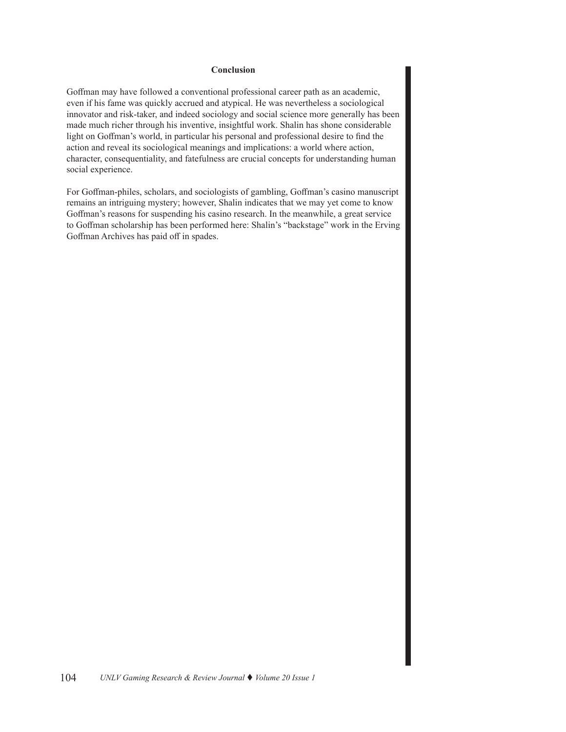## **Conclusion**

Goffman may have followed a conventional professional career path as an academic, even if his fame was quickly accrued and atypical. He was nevertheless a sociological innovator and risk-taker, and indeed sociology and social science more generally has been made much richer through his inventive, insightful work. Shalin has shone considerable light on Goffman's world, in particular his personal and professional desire to find the action and reveal its sociological meanings and implications: a world where action, character, consequentiality, and fatefulness are crucial concepts for understanding human social experience.

For Goffman-philes, scholars, and sociologists of gambling, Goffman's casino manuscript remains an intriguing mystery; however, Shalin indicates that we may yet come to know Goffman's reasons for suspending his casino research. In the meanwhile, a great service to Goffman scholarship has been performed here: Shalin's "backstage" work in the Erving Goffman Archives has paid off in spades.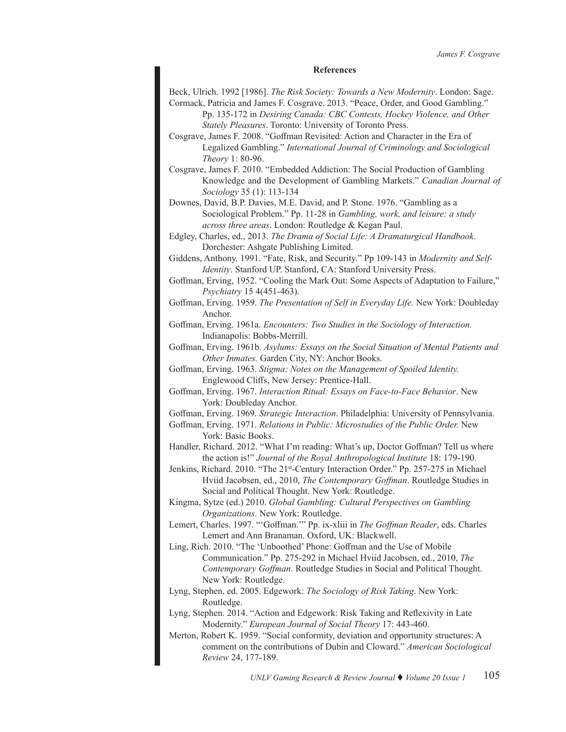#### **References**

Beck, Ulrich. 1992 [1986]. *The Risk Society: Towards a New Modernity*. London: Sage. Cormack, Patricia and James F. Cosgrave. 2013. "Peace, Order, and Good Gambling."

Pp. 135-172 in *Desiring Canada: CBC Contests, Hockey Violence, and Other Stately Pleasures*. Toronto: University of Toronto Press.

Cosgrave, James F. 2008. "Goffman Revisited: Action and Character in the Era of Legalized Gambling." *International Journal of Criminology and Sociological Theory* 1: 80-96.

Cosgrave, James F. 2010. "Embedded Addiction: The Social Production of Gambling Knowledge and the Development of Gambling Markets." *Canadian Journal of Sociology* 35 (1): 113-134

Downes, David, B.P. Davies, M.E. David, and P. Stone. 1976. "Gambling as a Sociological Problem." Pp. 11-28 in *Gambling, work, and leisure: a study across three areas*. London: Routledge & Kegan Paul.

Edgley, Charles, ed., 2013. *The Drama of Social Life: A Dramaturgical Handbook*. Dorchester: Ashgate Publishing Limited.

Giddens, Anthony. 1991. "Fate, Risk, and Security." Pp 109-143 in *Modernity and Self-Identity*. Stanford UP. Stanford, CA: Stanford University Press.

Goffman, Erving, 1952. "Cooling the Mark Out: Some Aspects of Adaptation to Failure," *Psychiatry* 15 4(451-463).

Goffman, Erving. 1959. *The Presentation of Self in Everyday Life.* New York: Doubleday Anchor.

Goffman, Erving. 1961a. *Encounters: Two Studies in the Sociology of Interaction.*  Indianapolis: Bobbs-Merrill.

Goffman, Erving. 1961b. *Asylums: Essays on the Social Situation of Mental Patients and Other Inmates.* Garden City, NY: Anchor Books.

Goffman, Erving. 1963. *Stigma: Notes on the Management of Spoiled Identity.*  Englewood Cliffs, New Jersey: Prentice-Hall.

Goffman, Erving. 1967. *Interaction Ritual: Essays on Face-to-Face Behavior*. New York: Doubleday Anchor.

Goffman, Erving. 1969. *Strategic Interaction*. Philadelphia: University of Pennsylvania.

Goffman, Erving. 1971. *Relations in Public: Microstudies of the Public Order.* New York: Basic Books.

Handler, Richard. 2012. "What I'm reading: What's up, Doctor Goffman? Tell us where the action is!" *Journal of the Royal Anthropological Institute* 18: 179-190.

Jenkins, Richard. 2010. "The 21st-Century Interaction Order." Pp. 257-275 in Michael Hviid Jacobsen, ed., 2010, *The Contemporary Goffman*. Routledge Studies in Social and Political Thought. New York: Routledge.

Kingma, Sytze (ed.) 2010. *Global Gambling: Cultural Perspectives on Gambling Organizations*. New York: Routledge.

Lemert, Charles. 1997. "'Goffman.'" Pp. ix-xliii in *The Goffman Reader*, eds. Charles Lemert and Ann Branaman. Oxford, UK: Blackwell.

Ling, Rich. 2010. "The 'Unboothed' Phone: Goffman and the Use of Mobile Communication." Pp. 275-292 in Michael Hviid Jacobsen, ed., 2010, *The Contemporary Goffman*. Routledge Studies in Social and Political Thought. New York: Routledge.

Lyng, Stephen, ed. 2005. Edgework: *The Sociology of Risk Taking*. New York: Routledge.

Lyng, Stephen. 2014. "Action and Edgework: Risk Taking and Reflexivity in Late Modernity." *European Journal of Social Theory* 17: 443-460.

Merton, Robert K. 1959. "Social conformity, deviation and opportunity structures: A comment on the contributions of Dubin and Cloward." *American Sociological Review* 24, 177-189.